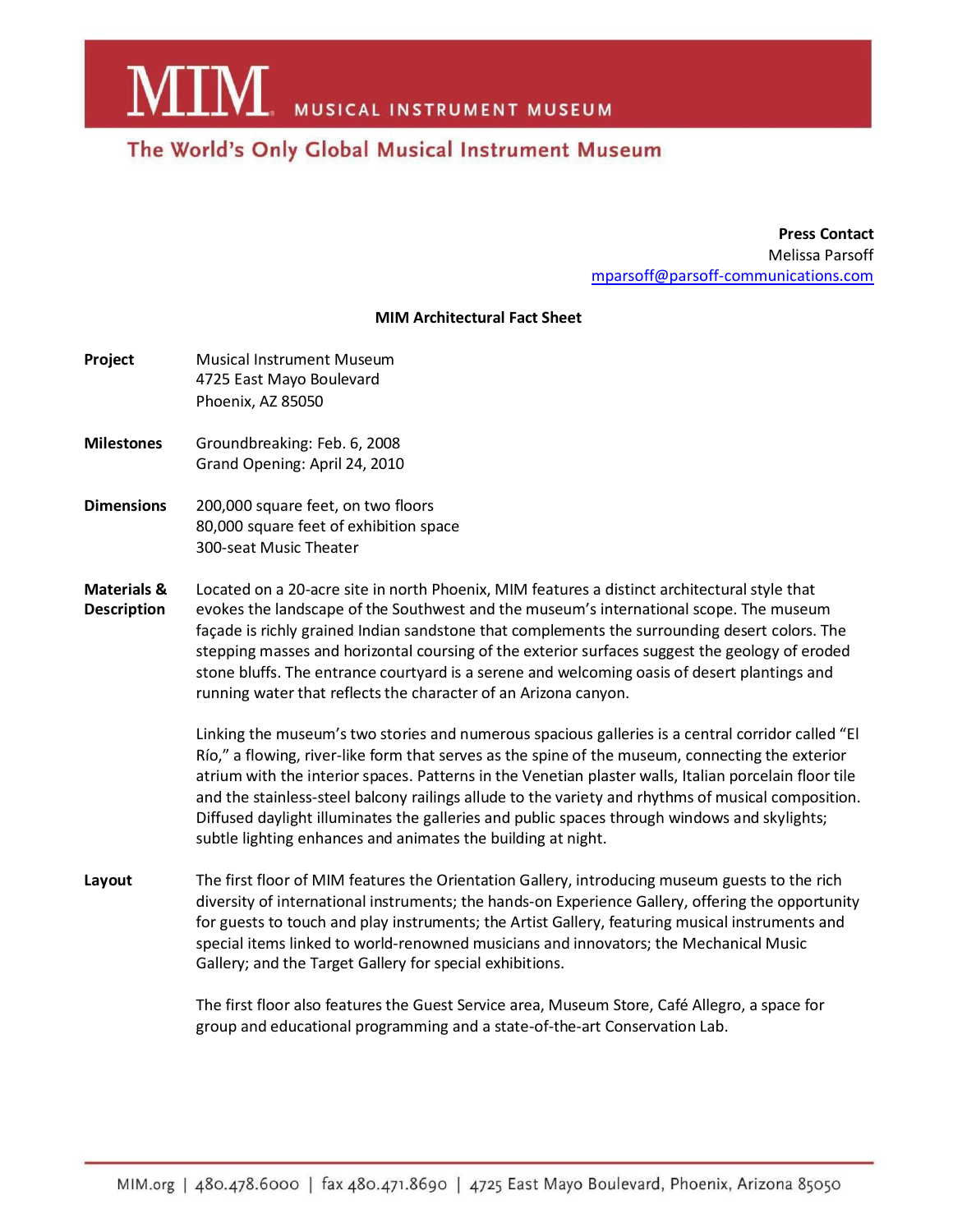**MIM** MUSICAL INSTRUMENT MUSEUM

## The World's Only Global Musical Instrument Museum

**Press Contact** Melissa Parsoff [mparsoff@parsoff-communications.com](mailto:mparsoff@parsoff-communications.com)

## **MIM Architectural Fact Sheet**

| Project | <b>Musical Instrument Museum</b> |
|---------|----------------------------------|
|         | 4725 East Mayo Boulevard         |
|         | Phoenix, AZ 85050                |

- **Milestones** Groundbreaking: Feb. 6, 2008 Grand Opening: April 24, 2010
- **Dimensions** 200,000 square feet, on two floors 80,000 square feet of exhibition space 300-seat Music Theater
- **Materials &** Located on a 20-acre site in north Phoenix, MIM features a distinct architectural style that **Description** evokes the landscape of the Southwest and the museum's international scope. The museum façade is richly grained Indian sandstone that complements the surrounding desert colors. The stepping masses and horizontal coursing of the exterior surfaces suggest the geology of eroded stone bluffs. The entrance courtyard is a serene and welcoming oasis of desert plantings and running water that reflects the character of an Arizona canyon.

Linking the museum's two stories and numerous spacious galleries is a central corridor called "El Río," a flowing, river-like form that serves as the spine of the museum, connecting the exterior atrium with the interior spaces. Patterns in the Venetian plaster walls, Italian porcelain floor tile and the stainless-steel balcony railings allude to the variety and rhythms of musical composition. Diffused daylight illuminates the galleries and public spaces through windows and skylights; subtle lighting enhances and animates the building at night.

**Layout** The first floor of MIM features the Orientation Gallery, introducing museum guests to the rich diversity of international instruments; the hands-on Experience Gallery, offering the opportunity for guests to touch and play instruments; the Artist Gallery, featuring musical instruments and special items linked to world-renowned musicians and innovators; the Mechanical Music Gallery; and the Target Gallery for special exhibitions.

> The first floor also features the Guest Service area, Museum Store, Café Allegro, a space for group and educational programming and a state-of-the-art Conservation Lab.